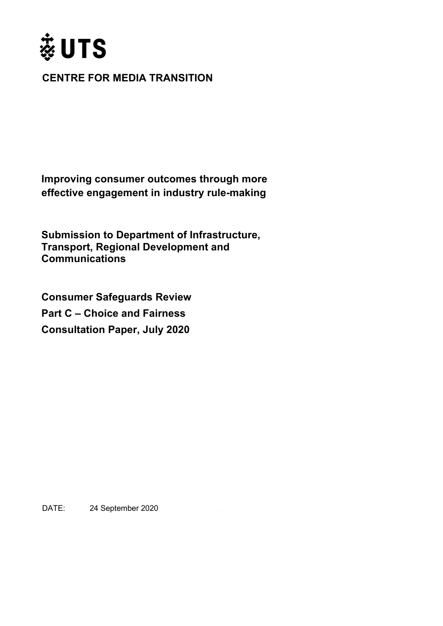

## **CENTRE FOR MEDIA TRANSITION**

**Improving consumer outcomes through more effective engagement in industry rule-making**

**Submission to Department of Infrastructure, Transport, Regional Development and Communications**

**Consumer Safeguards Review Part C – Choice and Fairness Consultation Paper, July 2020** 

DATE: 24 September 2020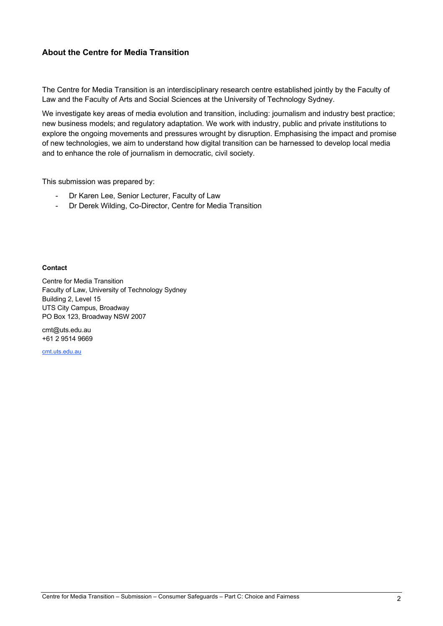### **About the Centre for Media Transition**

The Centre for Media Transition is an interdisciplinary research centre established jointly by the Faculty of Law and the Faculty of Arts and Social Sciences at the University of Technology Sydney.

We investigate key areas of media evolution and transition, including: journalism and industry best practice; new business models; and regulatory adaptation. We work with industry, public and private institutions to explore the ongoing movements and pressures wrought by disruption. Emphasising the impact and promise of new technologies, we aim to understand how digital transition can be harnessed to develop local media and to enhance the role of journalism in democratic, civil society.

This submission was prepared by:

- Dr Karen Lee, Senior Lecturer, Faculty of Law
- Dr Derek Wilding, Co-Director, Centre for Media Transition

#### **Contact**

Centre for Media Transition Faculty of Law, University of Technology Sydney Building 2, Level 15 UTS City Campus, Broadway PO Box 123, Broadway NSW 2007

cmt@uts.edu.au +61 2 9514 9669

cmt.uts.edu.au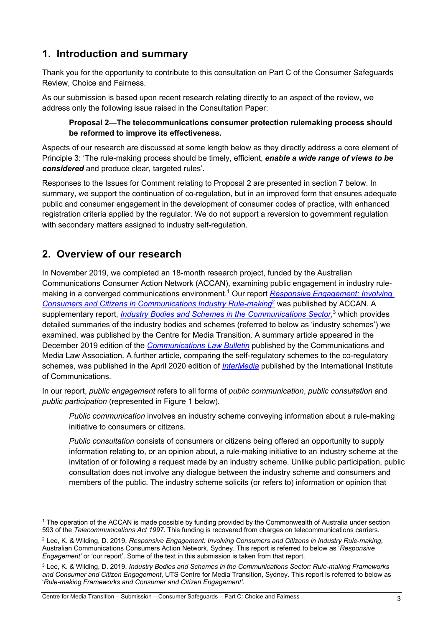# **1. Introduction and summary**

Thank you for the opportunity to contribute to this consultation on Part C of the Consumer Safeguards Review, Choice and Fairness.

As our submission is based upon recent research relating directly to an aspect of the review, we address only the following issue raised in the Consultation Paper:

### **Proposal 2—The telecommunications consumer protection rulemaking process should be reformed to improve its effectiveness.**

Aspects of our research are discussed at some length below as they directly address a core element of Principle 3: 'The rule-making process should be timely, efficient, *enable a wide range of views to be considered* and produce clear, targeted rules'.

Responses to the Issues for Comment relating to Proposal 2 are presented in section 7 below. In summary, we support the continuation of co-regulation, but in an improved form that ensures adequate public and consumer engagement in the development of consumer codes of practice, with enhanced registration criteria applied by the regulator. We do not support a reversion to government regulation with secondary matters assigned to industry self-regulation.

## **2. Overview of our research**

In November 2019, we completed an 18-month research project, funded by the Australian Communications Consumer Action Network (ACCAN), examining public engagement in industry rulemaking in a converged communications environment.1 Our report *Responsive Engagement: Involving Consumers and Citizens in Communications Industry Rule-making*<sup>2</sup> was published by ACCAN. A supplementary report, *Industry Bodies and Schemes in the Communications Sector*, <sup>3</sup> which provides detailed summaries of the industry bodies and schemes (referred to below as 'industry schemes') we examined, was published by the Centre for Media Transition. A summary article appeared in the December 2019 edition of the *Communications Law Bulletin* published by the Communications and Media Law Association. A further article, comparing the self-regulatory schemes to the co-regulatory schemes, was published in the April 2020 edition of *InterMedia* published by the International Institute of Communications.

In our report, *public engagement* refers to all forms of *public communication*, *public consultation* and *public participation* (represented in Figure 1 below).

*Public communication* involves an industry scheme conveying information about a rule-making initiative to consumers or citizens.

*Public consultation* consists of consumers or citizens being offered an opportunity to supply information relating to, or an opinion about, a rule-making initiative to an industry scheme at the invitation of or following a request made by an industry scheme. Unlike public participation, public consultation does not involve any dialogue between the industry scheme and consumers and members of the public. The industry scheme solicits (or refers to) information or opinion that

<sup>&</sup>lt;sup>1</sup> The operation of the ACCAN is made possible by funding provided by the Commonwealth of Australia under section 593 of the *Telecommunications Act 1997*. This funding is recovered from charges on telecommunications carriers.

<sup>2</sup> Lee, K. & Wilding, D. 2019, *Responsive Engagement: Involving Consumers and Citizens in Industry Rule-making*, Australian Communications Consumers Action Network, Sydney. This report is referred to below as '*Responsive Engagement'* or 'our report'. Some of the text in this submission is taken from that report.

<sup>3</sup> Lee, K. & Wilding, D. 2019, *Industry Bodies and Schemes in the Communications Sector: Rule-making Frameworks and Consumer and Citizen Engagement*, UTS Centre for Media Transition, Sydney. This report is referred to below as '*Rule-making Frameworks and Consumer and Citizen Engagement'*.

Centre for Media Transition – Submission – Consumer Safeguards – Part C: Choice and Fairness 3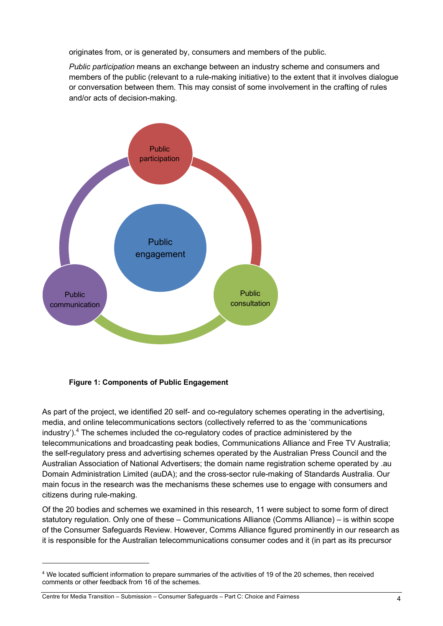originates from, or is generated by, consumers and members of the public.

*Public participation* means an exchange between an industry scheme and consumers and members of the public (relevant to a rule-making initiative) to the extent that it involves dialogue or conversation between them. This may consist of some involvement in the crafting of rules and/or acts of decision-making.



**Figure 1: Components of Public Engagement**

As part of the project, we identified 20 self- and co-regulatory schemes operating in the advertising, media, and online telecommunications sectors (collectively referred to as the 'communications industry').<sup>4</sup> The schemes included the co-regulatory codes of practice administered by the telecommunications and broadcasting peak bodies, Communications Alliance and Free TV Australia; the self-regulatory press and advertising schemes operated by the Australian Press Council and the Australian Association of National Advertisers; the domain name registration scheme operated by .au Domain Administration Limited (auDA); and the cross-sector rule-making of Standards Australia. Our main focus in the research was the mechanisms these schemes use to engage with consumers and citizens during rule-making.

Of the 20 bodies and schemes we examined in this research, 11 were subject to some form of direct statutory regulation. Only one of these – Communications Alliance (Comms Alliance) – is within scope of the Consumer Safeguards Review. However, Comms Alliance figured prominently in our research as it is responsible for the Australian telecommunications consumer codes and it (in part as its precursor

<sup>4</sup> We located sufficient information to prepare summaries of the activities of 19 of the 20 schemes, then received comments or other feedback from 16 of the schemes.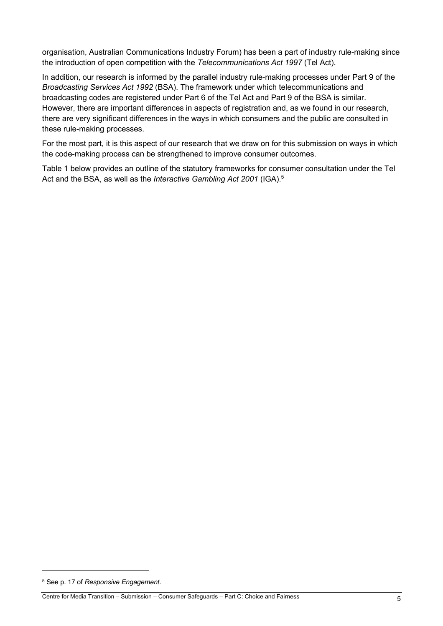organisation, Australian Communications Industry Forum) has been a part of industry rule-making since the introduction of open competition with the *Telecommunications Act 1997* (Tel Act).

In addition, our research is informed by the parallel industry rule-making processes under Part 9 of the *Broadcasting Services Act 1992* (BSA). The framework under which telecommunications and broadcasting codes are registered under Part 6 of the Tel Act and Part 9 of the BSA is similar. However, there are important differences in aspects of registration and, as we found in our research, there are very significant differences in the ways in which consumers and the public are consulted in these rule-making processes.

For the most part, it is this aspect of our research that we draw on for this submission on ways in which the code-making process can be strengthened to improve consumer outcomes.

Table 1 below provides an outline of the statutory frameworks for consumer consultation under the Tel Act and the BSA, as well as the *Interactive Gambling Act 2001* (IGA). 5

<sup>5</sup> See p. 17 of *Responsive Engagement*.

Centre for Media Transition – Submission – Consumer Safeguards – Part C: Choice and Fairness 5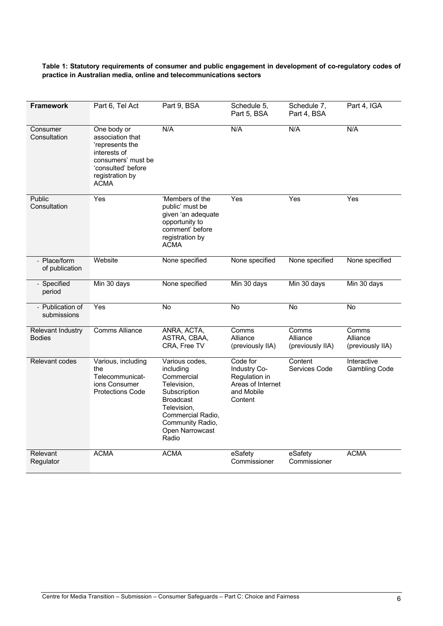#### **Table 1: Statutory requirements of consumer and public engagement in development of co-regulatory codes of practice in Australian media, online and telecommunications sectors**

| <b>Framework</b>                          | Part 6, Tel Act                                                                                                                                  | Part 9, BSA                                                                                                                                                                      | Schedule 5,<br>Part 5, BSA                                                              | Schedule 7,<br>Part 4, BSA            | Part 4, IGA                           |
|-------------------------------------------|--------------------------------------------------------------------------------------------------------------------------------------------------|----------------------------------------------------------------------------------------------------------------------------------------------------------------------------------|-----------------------------------------------------------------------------------------|---------------------------------------|---------------------------------------|
| Consumer<br>Consultation                  | One body or<br>association that<br>'represents the<br>interests of<br>consumers' must be<br>'consulted' before<br>registration by<br><b>ACMA</b> | N/A                                                                                                                                                                              | N/A                                                                                     | N/A                                   | N/A                                   |
| Public<br>Consultation                    | Yes                                                                                                                                              | 'Members of the<br>public' must be<br>given 'an adequate<br>opportunity to<br>comment' before<br>registration by<br><b>ACMA</b>                                                  | Yes                                                                                     | Yes                                   | Yes                                   |
| - Place/form<br>of publication            | Website                                                                                                                                          | None specified                                                                                                                                                                   | None specified                                                                          | None specified                        | None specified                        |
| - Specified<br>period                     | Min 30 days                                                                                                                                      | None specified                                                                                                                                                                   | Min 30 days                                                                             | Min 30 days                           | Min 30 days                           |
| - Publication of<br>submissions           | Yes                                                                                                                                              | No                                                                                                                                                                               | No                                                                                      | <b>No</b>                             | No                                    |
| <b>Relevant Industry</b><br><b>Bodies</b> | <b>Comms Alliance</b>                                                                                                                            | ANRA, ACTA,<br>ASTRA, CBAA,<br>CRA, Free TV                                                                                                                                      | Comms<br>Alliance<br>(previously IIA)                                                   | Comms<br>Alliance<br>(previously IIA) | Comms<br>Alliance<br>(previously IIA) |
| Relevant codes                            | Various, including<br>the<br>Telecommunicat-<br>ions Consumer<br><b>Protections Code</b>                                                         | Various codes,<br>including<br>Commercial<br>Television,<br>Subscription<br><b>Broadcast</b><br>Television.<br>Commercial Radio,<br>Community Radio,<br>Open Narrowcast<br>Radio | Code for<br>Industry Co-<br>Regulation in<br>Areas of Internet<br>and Mobile<br>Content | Content<br>Services Code              | Interactive<br><b>Gambling Code</b>   |
| Relevant<br>Regulator                     | <b>ACMA</b>                                                                                                                                      | <b>ACMA</b>                                                                                                                                                                      | eSafety<br>Commissioner                                                                 | eSafety<br>Commissioner               | <b>ACMA</b>                           |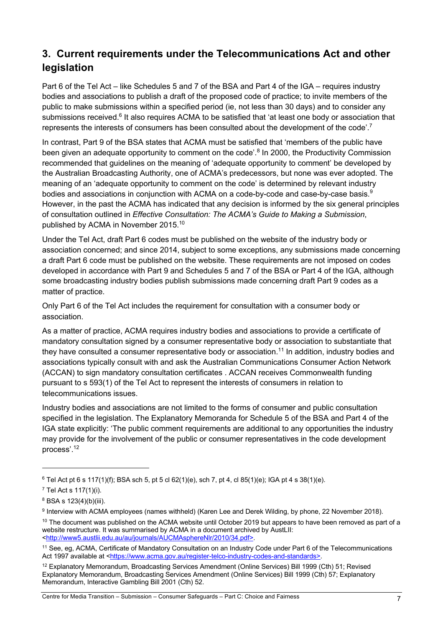# **3. Current requirements under the Telecommunications Act and other legislation**

Part 6 of the Tel Act – like Schedules 5 and 7 of the BSA and Part 4 of the IGA – requires industry bodies and associations to publish a draft of the proposed code of practice; to invite members of the public to make submissions within a specified period (ie, not less than 30 days) and to consider any submissions received.<sup>6</sup> It also requires ACMA to be satisfied that 'at least one body or association that represents the interests of consumers has been consulted about the development of the code'.<sup>7</sup>

In contrast, Part 9 of the BSA states that ACMA must be satisfied that 'members of the public have been given an adequate opportunity to comment on the code'.<sup>8</sup> In 2000, the Productivity Commission recommended that guidelines on the meaning of 'adequate opportunity to comment' be developed by the Australian Broadcasting Authority, one of ACMA's predecessors, but none was ever adopted. The meaning of an 'adequate opportunity to comment on the code' is determined by relevant industry bodies and associations in conjunction with ACMA on a code-by-code and case-by-case basis.<sup>9</sup> However, in the past the ACMA has indicated that any decision is informed by the six general principles of consultation outlined in *Effective Consultation: The ACMA's Guide to Making a Submission*, published by ACMA in November 2015.<sup>10</sup>

Under the Tel Act, draft Part 6 codes must be published on the website of the industry body or association concerned; and since 2014, subject to some exceptions, any submissions made concerning a draft Part 6 code must be published on the website. These requirements are not imposed on codes developed in accordance with Part 9 and Schedules 5 and 7 of the BSA or Part 4 of the IGA, although some broadcasting industry bodies publish submissions made concerning draft Part 9 codes as a matter of practice.

Only Part 6 of the Tel Act includes the requirement for consultation with a consumer body or association.

As a matter of practice, ACMA requires industry bodies and associations to provide a certificate of mandatory consultation signed by a consumer representative body or association to substantiate that they have consulted a consumer representative body or association.<sup>11</sup> In addition, industry bodies and associations typically consult with and ask the Australian Communications Consumer Action Network (ACCAN) to sign mandatory consultation certificates . ACCAN receives Commonwealth funding pursuant to s 593(1) of the Tel Act to represent the interests of consumers in relation to telecommunications issues.

Industry bodies and associations are not limited to the forms of consumer and public consultation specified in the legislation. The Explanatory Memoranda for Schedule 5 of the BSA and Part 4 of the IGA state explicitly: 'The public comment requirements are additional to any opportunities the industry may provide for the involvement of the public or consumer representatives in the code development process'.<sup>12</sup>

 $6$  Tel Act pt 6 s 117(1)(f); BSA sch 5, pt 5 cl 62(1)(e), sch 7, pt 4, cl 85(1)(e); IGA pt 4 s 38(1)(e).

<sup>7</sup> Tel Act s 117(1)(i).

<sup>8</sup> BSA s 123(4)(b)(iii).

<sup>9</sup> Interview with ACMA employees (names withheld) (Karen Lee and Derek Wilding, by phone, 22 November 2018).

 $10$  The document was published on the ACMA website until October 2019 but appears to have been removed as part of a website restructure. It was summarised by ACMA in a document archived by AustLII: <http://www5.austlii.edu.au/au/journals/AUCMAsphereNlr/2010/34.pdf>.

<sup>11</sup> See, eg, ACMA, Certificate of Mandatory Consultation on an Industry Code under Part 6 of the Telecommunications Act 1997 available at <https://www.acma.gov.au/register-telco-industry-codes-and-standards>.

<sup>12</sup> Explanatory Memorandum, Broadcasting Services Amendment (Online Services) Bill 1999 (Cth) 51; Revised Explanatory Memorandum, Broadcasting Services Amendment (Online Services) Bill 1999 (Cth) 57; Explanatory Memorandum, Interactive Gambling Bill 2001 (Cth) 52.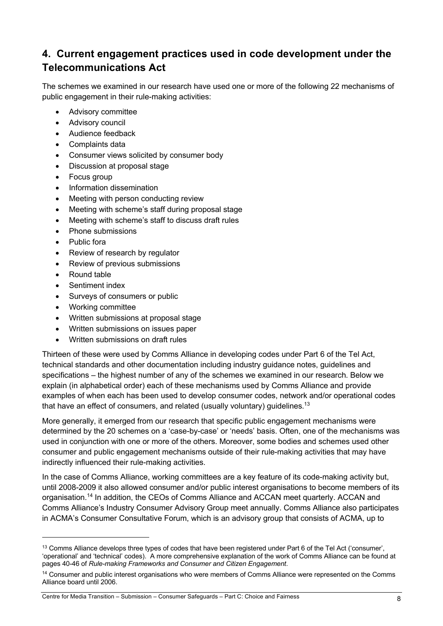# **4. Current engagement practices used in code development under the Telecommunications Act**

The schemes we examined in our research have used one or more of the following 22 mechanisms of public engagement in their rule-making activities:

- Advisory committee
- Advisory council
- Audience feedback
- Complaints data
- Consumer views solicited by consumer body
- Discussion at proposal stage
- Focus group
- Information dissemination
- Meeting with person conducting review
- Meeting with scheme's staff during proposal stage
- Meeting with scheme's staff to discuss draft rules
- Phone submissions
- Public fora
- Review of research by regulator
- Review of previous submissions
- Round table
- Sentiment index
- Surveys of consumers or public
- Working committee
- Written submissions at proposal stage
- Written submissions on issues paper
- Written submissions on draft rules

Thirteen of these were used by Comms Alliance in developing codes under Part 6 of the Tel Act, technical standards and other documentation including industry guidance notes, guidelines and specifications – the highest number of any of the schemes we examined in our research. Below we explain (in alphabetical order) each of these mechanisms used by Comms Alliance and provide examples of when each has been used to develop consumer codes, network and/or operational codes that have an effect of consumers, and related (usually voluntary) guidelines.<sup>13</sup>

More generally, it emerged from our research that specific public engagement mechanisms were determined by the 20 schemes on a 'case-by-case' or 'needs' basis. Often, one of the mechanisms was used in conjunction with one or more of the others. Moreover, some bodies and schemes used other consumer and public engagement mechanisms outside of their rule-making activities that may have indirectly influenced their rule-making activities.

In the case of Comms Alliance, working committees are a key feature of its code-making activity but, until 2008-2009 it also allowed consumer and/or public interest organisations to become members of its organisation.<sup>14</sup> In addition, the CEOs of Comms Alliance and ACCAN meet quarterly. ACCAN and Comms Alliance's Industry Consumer Advisory Group meet annually. Comms Alliance also participates in ACMA's Consumer Consultative Forum, which is an advisory group that consists of ACMA, up to

<sup>&</sup>lt;sup>13</sup> Comms Alliance develops three types of codes that have been registered under Part 6 of the Tel Act ('consumer', 'operational' and 'technical' codes). A more comprehensive explanation of the work of Comms Alliance can be found at pages 40-46 of *Rule-making Frameworks and Consumer and Citizen Engagement*.

<sup>&</sup>lt;sup>14</sup> Consumer and public interest organisations who were members of Comms Alliance were represented on the Comms Alliance board until 2006.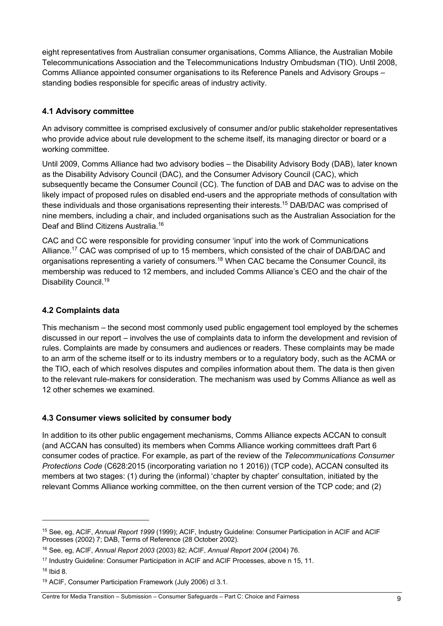eight representatives from Australian consumer organisations, Comms Alliance, the Australian Mobile Telecommunications Association and the Telecommunications Industry Ombudsman (TIO). Until 2008, Comms Alliance appointed consumer organisations to its Reference Panels and Advisory Groups – standing bodies responsible for specific areas of industry activity.

## **4.1 Advisory committee**

An advisory committee is comprised exclusively of consumer and/or public stakeholder representatives who provide advice about rule development to the scheme itself, its managing director or board or a working committee.

Until 2009, Comms Alliance had two advisory bodies – the Disability Advisory Body (DAB), later known as the Disability Advisory Council (DAC), and the Consumer Advisory Council (CAC), which subsequently became the Consumer Council (CC). The function of DAB and DAC was to advise on the likely impact of proposed rules on disabled end-users and the appropriate methods of consultation with these individuals and those organisations representing their interests.<sup>15</sup> DAB/DAC was comprised of nine members, including a chair, and included organisations such as the Australian Association for the Deaf and Blind Citizens Australia.16

CAC and CC were responsible for providing consumer 'input' into the work of Communications Alliance.<sup>17</sup> CAC was comprised of up to 15 members, which consisted of the chair of DAB/DAC and organisations representing a variety of consumers.<sup>18</sup> When CAC became the Consumer Council, its membership was reduced to 12 members, and included Comms Alliance's CEO and the chair of the Disability Council.19

## **4.2 Complaints data**

This mechanism – the second most commonly used public engagement tool employed by the schemes discussed in our report – involves the use of complaints data to inform the development and revision of rules. Complaints are made by consumers and audiences or readers. These complaints may be made to an arm of the scheme itself or to its industry members or to a regulatory body, such as the ACMA or the TIO, each of which resolves disputes and compiles information about them. The data is then given to the relevant rule-makers for consideration. The mechanism was used by Comms Alliance as well as 12 other schemes we examined.

## **4.3 Consumer views solicited by consumer body**

In addition to its other public engagement mechanisms, Comms Alliance expects ACCAN to consult (and ACCAN has consulted) its members when Comms Alliance working committees draft Part 6 consumer codes of practice. For example, as part of the review of the *Telecommunications Consumer Protections Code* (C628:2015 (incorporating variation no 1 2016)) (TCP code), ACCAN consulted its members at two stages: (1) during the (informal) 'chapter by chapter' consultation, initiated by the relevant Comms Alliance working committee, on the then current version of the TCP code; and (2)

<sup>15</sup> See, eg, ACIF, *Annual Report 1999* (1999); ACIF, Industry Guideline: Consumer Participation in ACIF and ACIF Processes (2002) 7; DAB, Terms of Reference (28 October 2002).

<sup>16</sup> See, eg, ACIF, *Annual Report 2003* (2003) 82; ACIF, *Annual Report 2004* (2004) 76.

<sup>&</sup>lt;sup>17</sup> Industry Guideline: Consumer Participation in ACIF and ACIF Processes, above n 15, 11.

<sup>18</sup> Ibid 8.

<sup>19</sup> ACIF, Consumer Participation Framework (July 2006) cl 3.1.

Centre for Media Transition – Submission – Consumer Safeguards – Part C: Choice and Fairness 9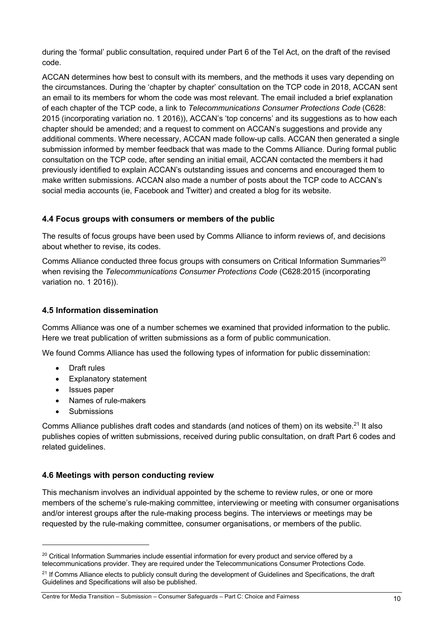during the 'formal' public consultation, required under Part 6 of the Tel Act, on the draft of the revised code.

ACCAN determines how best to consult with its members, and the methods it uses vary depending on the circumstances. During the 'chapter by chapter' consultation on the TCP code in 2018, ACCAN sent an email to its members for whom the code was most relevant. The email included a brief explanation of each chapter of the TCP code, a link to *Telecommunications Consumer Protections Code* (C628: 2015 (incorporating variation no. 1 2016)), ACCAN's 'top concerns' and its suggestions as to how each chapter should be amended; and a request to comment on ACCAN's suggestions and provide any additional comments. Where necessary, ACCAN made follow-up calls. ACCAN then generated a single submission informed by member feedback that was made to the Comms Alliance. During formal public consultation on the TCP code, after sending an initial email, ACCAN contacted the members it had previously identified to explain ACCAN's outstanding issues and concerns and encouraged them to make written submissions. ACCAN also made a number of posts about the TCP code to ACCAN's social media accounts (ie, Facebook and Twitter) and created a blog for its website.

#### **4.4 Focus groups with consumers or members of the public**

The results of focus groups have been used by Comms Alliance to inform reviews of, and decisions about whether to revise, its codes.

Comms Alliance conducted three focus groups with consumers on Critical Information Summaries<sup>20</sup> when revising the *Telecommunications Consumer Protections Code* (C628:2015 (incorporating variation no. 1 2016)).

### **4.5 Information dissemination**

Comms Alliance was one of a number schemes we examined that provided information to the public. Here we treat publication of written submissions as a form of public communication.

We found Comms Alliance has used the following types of information for public dissemination:

- Draft rules
- Explanatory statement
- Issues paper
- Names of rule-makers
- **Submissions**

Comms Alliance publishes draft codes and standards (and notices of them) on its website.<sup>21</sup> It also publishes copies of written submissions, received during public consultation, on draft Part 6 codes and related guidelines.

#### **4.6 Meetings with person conducting review**

This mechanism involves an individual appointed by the scheme to review rules, or one or more members of the scheme's rule-making committee, interviewing or meeting with consumer organisations and/or interest groups after the rule-making process begins. The interviews or meetings may be requested by the rule-making committee, consumer organisations, or members of the public.

<sup>&</sup>lt;sup>20</sup> Critical Information Summaries include essential information for every product and service offered by a telecommunications provider. They are required under the Telecommunications Consumer Protections Code.

<sup>&</sup>lt;sup>21</sup> If Comms Alliance elects to publicly consult during the development of Guidelines and Specifications, the draft Guidelines and Specifications will also be published.

Centre for Media Transition – Submission – Consumer Safeguards – Part C: Choice and Fairness 10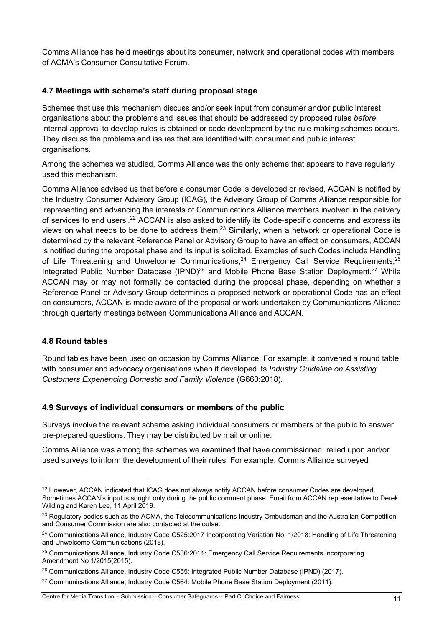Comms Alliance has held meetings about its consumer, network and operational codes with members of ACMA's Consumer Consultative Forum.

## **4.7 Meetings with scheme's staff during proposal stage**

Schemes that use this mechanism discuss and/or seek input from consumer and/or public interest organisations about the problems and issues that should be addressed by proposed rules *before* internal approval to develop rules is obtained or code development by the rule-making schemes occurs. They discuss the problems and issues that are identified with consumer and public interest organisations.

Among the schemes we studied, Comms Alliance was the only scheme that appears to have regularly used this mechanism.

Comms Alliance advised us that before a consumer Code is developed or revised, ACCAN is notified by the Industry Consumer Advisory Group (ICAG), the Advisory Group of Comms Alliance responsible for 'representing and advancing the interests of Communications Alliance members involved in the delivery of services to end users<sup>', 22</sup> ACCAN is also asked to identify its Code-specific concerns and express its views on what needs to be done to address them.<sup>23</sup> Similarly, when a network or operational Code is determined by the relevant Reference Panel or Advisory Group to have an effect on consumers, ACCAN is notified during the proposal phase and its input is solicited. Examples of such Codes include Handling of Life Threatening and Unwelcome Communications, $^{24}$  Emergency Call Service Requirements, $^{25}$ Integrated Public Number Database  $(IPND)^{26}$  and Mobile Phone Base Station Deployment.<sup>27</sup> While ACCAN may or may not formally be contacted during the proposal phase, depending on whether a Reference Panel or Advisory Group determines a proposed network or operational Code has an effect on consumers, ACCAN is made aware of the proposal or work undertaken by Communications Alliance through quarterly meetings between Communications Alliance and ACCAN.

## **4.8 Round tables**

Round tables have been used on occasion by Comms Alliance. For example, it convened a round table with consumer and advocacy organisations when it developed its *Industry Guideline on Assisting Customers Experiencing Domestic and Family Violence* (G660:2018).

#### **4.9 Surveys of individual consumers or members of the public**

Surveys involve the relevant scheme asking individual consumers or members of the public to answer pre-prepared questions. They may be distributed by mail or online.

Comms Alliance was among the schemes we examined that have commissioned, relied upon and/or used surveys to inform the development of their rules. For example, Comms Alliance surveyed

<sup>&</sup>lt;sup>22</sup> However, ACCAN indicated that ICAG does not always notify ACCAN before consumer Codes are developed. Sometimes ACCAN's input is sought only during the public comment phase. Email from ACCAN representative to Derek Wilding and Karen Lee, 11 April 2019.

<sup>&</sup>lt;sup>23</sup> Regulatory bodies such as the ACMA, the Telecommunications Industry Ombudsman and the Australian Competition and Consumer Commission are also contacted at the outset.

<sup>&</sup>lt;sup>24</sup> Communications Alliance, Industry Code C525:2017 Incorporating Variation No. 1/2018: Handling of Life Threatening and Unwelcome Communications (2018).

<sup>&</sup>lt;sup>25</sup> Communications Alliance, Industry Code C536:2011: Emergency Call Service Requirements Incorporating Amendment No 1/2015(2015).

<sup>&</sup>lt;sup>26</sup> Communications Alliance, Industry Code C555: Integrated Public Number Database (IPND) (2017).

<sup>&</sup>lt;sup>27</sup> Communications Alliance, Industry Code C564: Mobile Phone Base Station Deployment (2011).

Centre for Media Transition – Submission – Consumer Safeguards – Part C: Choice and Fairness 11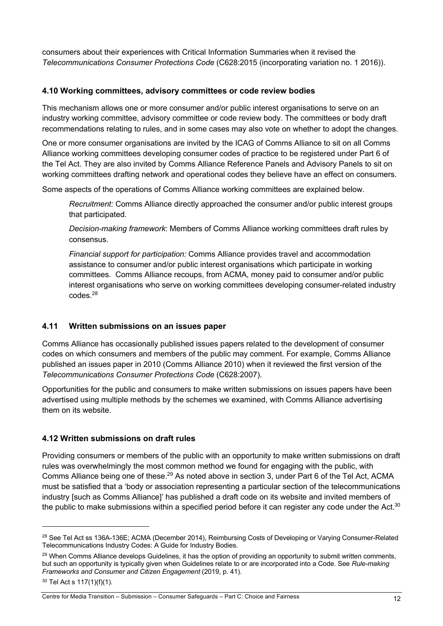consumers about their experiences with Critical Information Summaries when it revised the *Telecommunications Consumer Protections Code* (C628:2015 (incorporating variation no. 1 2016)).

#### **4.10 Working committees, advisory committees or code review bodies**

This mechanism allows one or more consumer and/or public interest organisations to serve on an industry working committee, advisory committee or code review body. The committees or body draft recommendations relating to rules, and in some cases may also vote on whether to adopt the changes.

One or more consumer organisations are invited by the ICAG of Comms Alliance to sit on all Comms Alliance working committees developing consumer codes of practice to be registered under Part 6 of the Tel Act. They are also invited by Comms Alliance Reference Panels and Advisory Panels to sit on working committees drafting network and operational codes they believe have an effect on consumers.

Some aspects of the operations of Comms Alliance working committees are explained below.

*Recruitment:* Comms Alliance directly approached the consumer and/or public interest groups that participated.

*Decision-making framework*: Members of Comms Alliance working committees draft rules by consensus.

*Financial support for participation:* Comms Alliance provides travel and accommodation assistance to consumer and/or public interest organisations which participate in working committees. Comms Alliance recoups, from ACMA, money paid to consumer and/or public interest organisations who serve on working committees developing consumer-related industry codes.28

#### **4.11 Written submissions on an issues paper**

Comms Alliance has occasionally published issues papers related to the development of consumer codes on which consumers and members of the public may comment. For example, Comms Alliance published an issues paper in 2010 (Comms Alliance 2010) when it reviewed the first version of the *Telecommunications Consumer Protections Code* (C628:2007).

Opportunities for the public and consumers to make written submissions on issues papers have been advertised using multiple methods by the schemes we examined, with Comms Alliance advertising them on its website.

#### **4.12 Written submissions on draft rules**

Providing consumers or members of the public with an opportunity to make written submissions on draft rules was overwhelmingly the most common method we found for engaging with the public, with Comms Alliance being one of these.<sup>29</sup> As noted above in section 3, under Part 6 of the Tel Act, ACMA must be satisfied that a 'body or association representing a particular section of the telecommunications industry [such as Comms Alliance]' has published a draft code on its website and invited members of the public to make submissions within a specified period before it can register any code under the Act. $30$ 

<sup>&</sup>lt;sup>28</sup> See Tel Act ss 136A-136E; ACMA (December 2014), Reimbursing Costs of Developing or Varying Consumer-Related Telecommunications Industry Codes: A Guide for Industry Bodies.

<sup>&</sup>lt;sup>29</sup> When Comms Alliance develops Guidelines, it has the option of providing an opportunity to submit written comments, but such an opportunity is typically given when Guidelines relate to or are incorporated into a Code. See *Rule-making Frameworks and Consumer and Citizen Engagement* (2019, p. 41).

<sup>30</sup> Tel Act s 117(1)(f)(1).

Centre for Media Transition – Submission – Consumer Safeguards – Part C: Choice and Fairness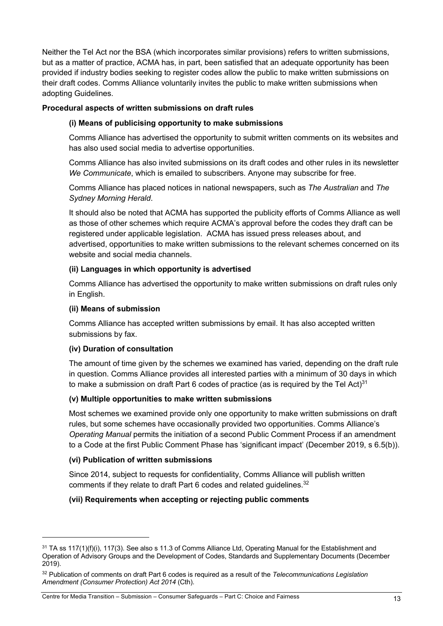Neither the Tel Act nor the BSA (which incorporates similar provisions) refers to written submissions, but as a matter of practice, ACMA has, in part, been satisfied that an adequate opportunity has been provided if industry bodies seeking to register codes allow the public to make written submissions on their draft codes. Comms Alliance voluntarily invites the public to make written submissions when adopting Guidelines.

#### **Procedural aspects of written submissions on draft rules**

#### **(i) Means of publicising opportunity to make submissions**

Comms Alliance has advertised the opportunity to submit written comments on its websites and has also used social media to advertise opportunities.

Comms Alliance has also invited submissions on its draft codes and other rules in its newsletter *We Communicate*, which is emailed to subscribers. Anyone may subscribe for free.

Comms Alliance has placed notices in national newspapers, such as *The Australian* and *The Sydney Morning Herald*.

It should also be noted that ACMA has supported the publicity efforts of Comms Alliance as well as those of other schemes which require ACMA's approval before the codes they draft can be registered under applicable legislation. ACMA has issued press releases about, and advertised, opportunities to make written submissions to the relevant schemes concerned on its website and social media channels.

#### **(ii) Languages in which opportunity is advertised**

Comms Alliance has advertised the opportunity to make written submissions on draft rules only in English.

#### **(ii) Means of submission**

Comms Alliance has accepted written submissions by email. It has also accepted written submissions by fax.

#### **(iv) Duration of consultation**

The amount of time given by the schemes we examined has varied, depending on the draft rule in question. Comms Alliance provides all interested parties with a minimum of 30 days in which to make a submission on draft Part 6 codes of practice (as is required by the Tel Act) $^{\rm 31}$ 

#### **(v) Multiple opportunities to make written submissions**

Most schemes we examined provide only one opportunity to make written submissions on draft rules, but some schemes have occasionally provided two opportunities. Comms Alliance's *Operating Manual* permits the initiation of a second Public Comment Process if an amendment to a Code at the first Public Comment Phase has 'significant impact' (December 2019, s 6.5(b)).

#### **(vi) Publication of written submissions**

Since 2014, subject to requests for confidentiality, Comms Alliance will publish written comments if they relate to draft Part 6 codes and related guidelines.<sup>32</sup>

#### **(vii) Requirements when accepting or rejecting public comments**

 $31$  TA ss 117(1)(f)(i), 117(3). See also s 11.3 of Comms Alliance Ltd, Operating Manual for the Establishment and Operation of Advisory Groups and the Development of Codes, Standards and Supplementary Documents (December 2019).

<sup>32</sup> Publication of comments on draft Part 6 codes is required as a result of the *Telecommunications Legislation Amendment (Consumer Protection) Act 2014* (Cth).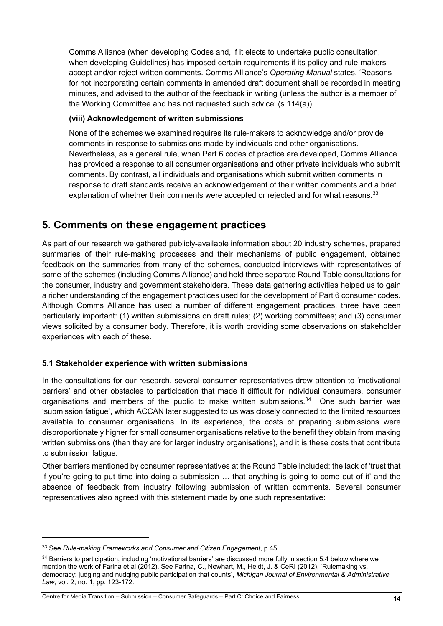Comms Alliance (when developing Codes and, if it elects to undertake public consultation, when developing Guidelines) has imposed certain requirements if its policy and rule-makers accept and/or reject written comments. Comms Alliance's *Operating Manual* states, 'Reasons for not incorporating certain comments in amended draft document shall be recorded in meeting minutes, and advised to the author of the feedback in writing (unless the author is a member of the Working Committee and has not requested such advice' (s 114(a)).

#### **(viii) Acknowledgement of written submissions**

None of the schemes we examined requires its rule-makers to acknowledge and/or provide comments in response to submissions made by individuals and other organisations. Nevertheless, as a general rule, when Part 6 codes of practice are developed, Comms Alliance has provided a response to all consumer organisations and other private individuals who submit comments. By contrast, all individuals and organisations which submit written comments in response to draft standards receive an acknowledgement of their written comments and a brief explanation of whether their comments were accepted or rejected and for what reasons.<sup>33</sup>

## **5. Comments on these engagement practices**

As part of our research we gathered publicly-available information about 20 industry schemes, prepared summaries of their rule-making processes and their mechanisms of public engagement, obtained feedback on the summaries from many of the schemes, conducted interviews with representatives of some of the schemes (including Comms Alliance) and held three separate Round Table consultations for the consumer, industry and government stakeholders. These data gathering activities helped us to gain a richer understanding of the engagement practices used for the development of Part 6 consumer codes. Although Comms Alliance has used a number of different engagement practices, three have been particularly important: (1) written submissions on draft rules; (2) working committees; and (3) consumer views solicited by a consumer body. Therefore, it is worth providing some observations on stakeholder experiences with each of these.

#### **5.1 Stakeholder experience with written submissions**

In the consultations for our research, several consumer representatives drew attention to 'motivational barriers' and other obstacles to participation that made it difficult for individual consumers, consumer organisations and members of the public to make written submissions.<sup>34</sup> One such barrier was 'submission fatigue', which ACCAN later suggested to us was closely connected to the limited resources available to consumer organisations. In its experience, the costs of preparing submissions were disproportionately higher for small consumer organisations relative to the benefit they obtain from making written submissions (than they are for larger industry organisations), and it is these costs that contribute to submission fatigue.

Other barriers mentioned by consumer representatives at the Round Table included: the lack of 'trust that if you're going to put time into doing a submission … that anything is going to come out of it' and the absence of feedback from industry following submission of written comments. Several consumer representatives also agreed with this statement made by one such representative:

<sup>33</sup> See *Rule-making Frameworks and Consumer and Citizen Engagement*, p.45

 $34$  Barriers to participation, including 'motivational barriers' are discussed more fully in section 5.4 below where we mention the work of Farina et al (2012). See Farina, C., Newhart, M., Heidt, J. & CeRI (2012), 'Rulemaking vs. democracy: judging and nudging public participation that counts', *Michigan Journal of Environmental & Administrative Law*, vol. 2, no. 1, pp. 123-172.

Centre for Media Transition – Submission – Consumer Safeguards – Part C: Choice and Fairness 14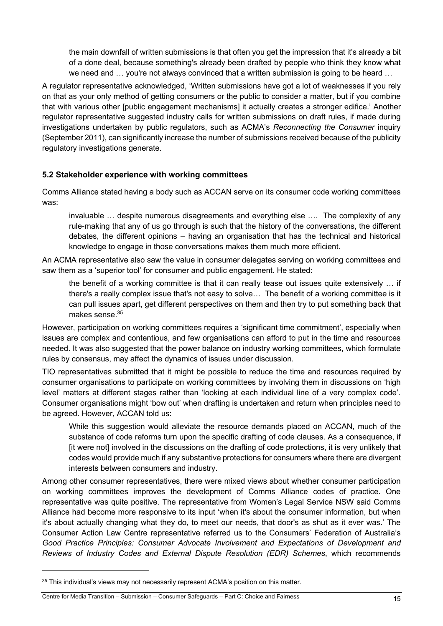the main downfall of written submissions is that often you get the impression that it's already a bit of a done deal, because something's already been drafted by people who think they know what we need and ... you're not always convinced that a written submission is going to be heard ...

A regulator representative acknowledged, 'Written submissions have got a lot of weaknesses if you rely on that as your only method of getting consumers or the public to consider a matter, but if you combine that with various other [public engagement mechanisms] it actually creates a stronger edifice.' Another regulator representative suggested industry calls for written submissions on draft rules, if made during investigations undertaken by public regulators, such as ACMA's *Reconnecting the Consumer* inquiry (September 2011), can significantly increase the number of submissions received because of the publicity regulatory investigations generate.

#### **5.2 Stakeholder experience with working committees**

Comms Alliance stated having a body such as ACCAN serve on its consumer code working committees was:

invaluable … despite numerous disagreements and everything else …. The complexity of any rule-making that any of us go through is such that the history of the conversations, the different debates, the different opinions – having an organisation that has the technical and historical knowledge to engage in those conversations makes them much more efficient.

An ACMA representative also saw the value in consumer delegates serving on working committees and saw them as a 'superior tool' for consumer and public engagement. He stated:

the benefit of a working committee is that it can really tease out issues quite extensively … if there's a really complex issue that's not easy to solve… The benefit of a working committee is it can pull issues apart, get different perspectives on them and then try to put something back that makes sense $35$ 

However, participation on working committees requires a 'significant time commitment', especially when issues are complex and contentious, and few organisations can afford to put in the time and resources needed. It was also suggested that the power balance on industry working committees, which formulate rules by consensus, may affect the dynamics of issues under discussion.

TIO representatives submitted that it might be possible to reduce the time and resources required by consumer organisations to participate on working committees by involving them in discussions on 'high level' matters at different stages rather than 'looking at each individual line of a very complex code'. Consumer organisations might 'bow out' when drafting is undertaken and return when principles need to be agreed. However, ACCAN told us:

While this suggestion would alleviate the resource demands placed on ACCAN, much of the substance of code reforms turn upon the specific drafting of code clauses. As a consequence, if [it were not] involved in the discussions on the drafting of code protections, it is very unlikely that codes would provide much if any substantive protections for consumers where there are divergent interests between consumers and industry.

Among other consumer representatives, there were mixed views about whether consumer participation on working committees improves the development of Comms Alliance codes of practice. One representative was quite positive. The representative from Women's Legal Service NSW said Comms Alliance had become more responsive to its input 'when it's about the consumer information, but when it's about actually changing what they do, to meet our needs, that door's as shut as it ever was.' The Consumer Action Law Centre representative referred us to the Consumers' Federation of Australia's *Good Practice Principles: Consumer Advocate Involvement and Expectations of Development and Reviews of Industry Codes and External Dispute Resolution (EDR) Schemes*, which recommends

<sup>&</sup>lt;sup>35</sup> This individual's views may not necessarily represent ACMA's position on this matter.

Centre for Media Transition – Submission – Consumer Safeguards – Part C: Choice and Fairness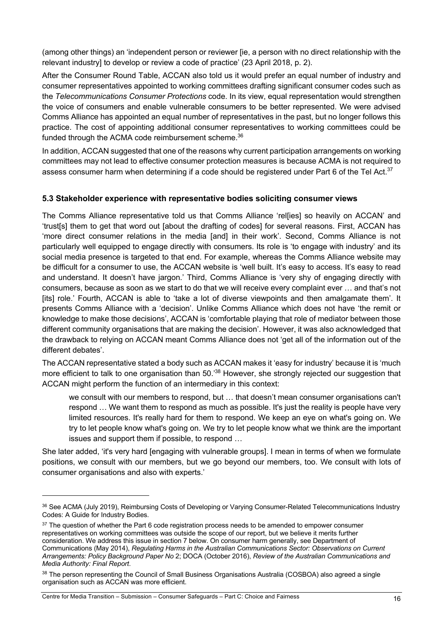(among other things) an 'independent person or reviewer [ie, a person with no direct relationship with the relevant industry] to develop or review a code of practice' (23 April 2018, p. 2).

After the Consumer Round Table, ACCAN also told us it would prefer an equal number of industry and consumer representatives appointed to working committees drafting significant consumer codes such as the *Telecommunications Consumer Protections* code. In its view, equal representation would strengthen the voice of consumers and enable vulnerable consumers to be better represented. We were advised Comms Alliance has appointed an equal number of representatives in the past, but no longer follows this practice. The cost of appointing additional consumer representatives to working committees could be funded through the ACMA code reimbursement scheme.<sup>36</sup>

In addition, ACCAN suggested that one of the reasons why current participation arrangements on working committees may not lead to effective consumer protection measures is because ACMA is not required to assess consumer harm when determining if a code should be registered under Part 6 of the Tel Act.<sup>37</sup>

#### **5.3 Stakeholder experience with representative bodies soliciting consumer views**

The Comms Alliance representative told us that Comms Alliance 'rellies] so heavily on ACCAN' and 'trust[s] them to get that word out [about the drafting of codes] for several reasons. First, ACCAN has 'more direct consumer relations in the media [and] in their work'. Second, Comms Alliance is not particularly well equipped to engage directly with consumers. Its role is 'to engage with industry' and its social media presence is targeted to that end. For example, whereas the Comms Alliance website may be difficult for a consumer to use, the ACCAN website is 'well built. It's easy to access. It's easy to read and understand. It doesn't have jargon.' Third, Comms Alliance is 'very shy of engaging directly with consumers, because as soon as we start to do that we will receive every complaint ever … and that's not [its] role.' Fourth, ACCAN is able to 'take a lot of diverse viewpoints and then amalgamate them'. It presents Comms Alliance with a 'decision'. Unlike Comms Alliance which does not have 'the remit or knowledge to make those decisions', ACCAN is 'comfortable playing that role of mediator between those different community organisations that are making the decision'. However, it was also acknowledged that the drawback to relying on ACCAN meant Comms Alliance does not 'get all of the information out of the different debates'.

The ACCAN representative stated a body such as ACCAN makes it 'easy for industry' because it is 'much more efficient to talk to one organisation than 50.<sup>38</sup> However, she strongly rejected our suggestion that ACCAN might perform the function of an intermediary in this context:

we consult with our members to respond, but … that doesn't mean consumer organisations can't respond … We want them to respond as much as possible. It's just the reality is people have very limited resources. It's really hard for them to respond. We keep an eye on what's going on. We try to let people know what's going on. We try to let people know what we think are the important issues and support them if possible, to respond …

She later added, 'it's very hard [engaging with vulnerable groups]. I mean in terms of when we formulate positions, we consult with our members, but we go beyond our members, too. We consult with lots of consumer organisations and also with experts.'

<sup>36</sup> See ACMA (July 2019), Reimbursing Costs of Developing or Varying Consumer-Related Telecommunications Industry Codes: A Guide for Industry Bodies.

 $37$  The question of whether the Part 6 code registration process needs to be amended to empower consumer representatives on working committees was outside the scope of our report, but we believe it merits further consideration. We address this issue in section 7 below. On consumer harm generally, see Department of Communications (May 2014), *Regulating Harms in the Australian Communications Sector: Observations on Current Arrangements: Policy Background Paper No* 2; DOCA (October 2016), *Review of the Australian Communications and Media Authority: Final Report*.

<sup>&</sup>lt;sup>38</sup> The person representing the Council of Small Business Organisations Australia (COSBOA) also agreed a single organisation such as ACCAN was more efficient.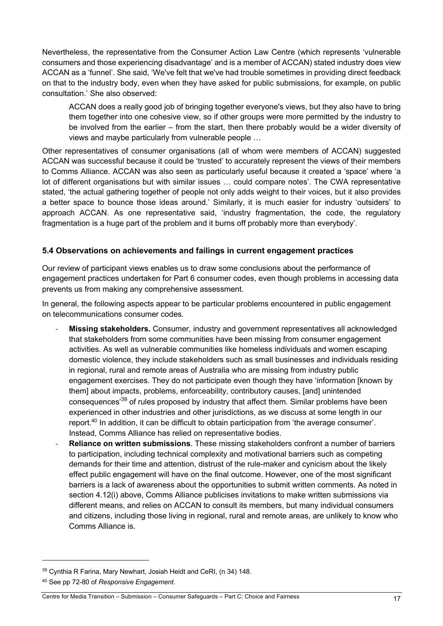Nevertheless, the representative from the Consumer Action Law Centre (which represents 'vulnerable consumers and those experiencing disadvantage' and is a member of ACCAN) stated industry does view ACCAN as a 'funnel'. She said, 'We've felt that we've had trouble sometimes in providing direct feedback on that to the industry body, even when they have asked for public submissions, for example, on public consultation.' She also observed:

ACCAN does a really good job of bringing together everyone's views, but they also have to bring them together into one cohesive view, so if other groups were more permitted by the industry to be involved from the earlier – from the start, then there probably would be a wider diversity of views and maybe particularly from vulnerable people …

Other representatives of consumer organisations (all of whom were members of ACCAN) suggested ACCAN was successful because it could be 'trusted' to accurately represent the views of their members to Comms Alliance. ACCAN was also seen as particularly useful because it created a 'space' where 'a lot of different organisations but with similar issues … could compare notes'. The CWA representative stated, 'the actual gathering together of people not only adds weight to their voices, but it also provides a better space to bounce those ideas around.' Similarly, it is much easier for industry 'outsiders' to approach ACCAN. As one representative said, 'industry fragmentation, the code, the regulatory fragmentation is a huge part of the problem and it burns off probably more than everybody'.

### **5.4 Observations on achievements and failings in current engagement practices**

Our review of participant views enables us to draw some conclusions about the performance of engagement practices undertaken for Part 6 consumer codes, even though problems in accessing data prevents us from making any comprehensive assessment.

In general, the following aspects appear to be particular problems encountered in public engagement on telecommunications consumer codes.

- **Missing stakeholders.** Consumer, industry and government representatives all acknowledged that stakeholders from some communities have been missing from consumer engagement activities. As well as vulnerable communities like homeless individuals and women escaping domestic violence, they include stakeholders such as small businesses and individuals residing in regional, rural and remote areas of Australia who are missing from industry public engagement exercises. They do not participate even though they have 'information [known by them] about impacts, problems, enforceability, contributory causes, [and] unintended consequences<sup>39</sup> of rules proposed by industry that affect them. Similar problems have been experienced in other industries and other jurisdictions, as we discuss at some length in our report.<sup>40</sup> In addition, it can be difficult to obtain participation from 'the average consumer'. Instead, Comms Alliance has relied on representative bodies.
- **Reliance on written submissions**. These missing stakeholders confront a number of barriers to participation, including technical complexity and motivational barriers such as competing demands for their time and attention, distrust of the rule-maker and cynicism about the likely effect public engagement will have on the final outcome. However, one of the most significant barriers is a lack of awareness about the opportunities to submit written comments. As noted in section 4.12(i) above, Comms Alliance publicises invitations to make written submissions via different means, and relies on ACCAN to consult its members, but many individual consumers and citizens, including those living in regional, rural and remote areas, are unlikely to know who Comms Alliance is.

<sup>39</sup> Cynthia R Farina, Mary Newhart, Josiah Heidt and CeRI, (n 34) 148.

<sup>40</sup> See pp 72-80 of *Responsive Engagement*.

Centre for Media Transition – Submission – Consumer Safeguards – Part C: Choice and Fairness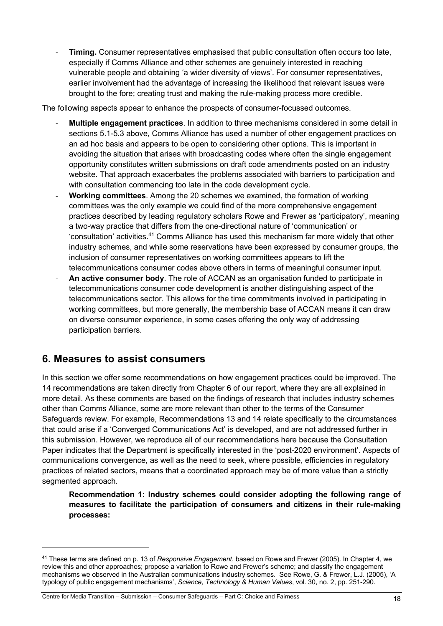- **Timing.** Consumer representatives emphasised that public consultation often occurs too late, especially if Comms Alliance and other schemes are genuinely interested in reaching vulnerable people and obtaining 'a wider diversity of views'. For consumer representatives, earlier involvement had the advantage of increasing the likelihood that relevant issues were brought to the fore; creating trust and making the rule-making process more credible.

The following aspects appear to enhance the prospects of consumer-focussed outcomes.

- **Multiple engagement practices**. In addition to three mechanisms considered in some detail in sections 5.1-5.3 above, Comms Alliance has used a number of other engagement practices on an ad hoc basis and appears to be open to considering other options. This is important in avoiding the situation that arises with broadcasting codes where often the single engagement opportunity constitutes written submissions on draft code amendments posted on an industry website. That approach exacerbates the problems associated with barriers to participation and with consultation commencing too late in the code development cycle.
- **Working committees**. Among the 20 schemes we examined, the formation of working committees was the only example we could find of the more comprehensive engagement practices described by leading regulatory scholars Rowe and Frewer as 'participatory', meaning a two-way practice that differs from the one-directional nature of 'communication' or 'consultation' activities.<sup>41</sup> Comms Alliance has used this mechanism far more widely that other industry schemes, and while some reservations have been expressed by consumer groups, the inclusion of consumer representatives on working committees appears to lift the telecommunications consumer codes above others in terms of meaningful consumer input.
- **An active consumer body**. The role of ACCAN as an organisation funded to participate in telecommunications consumer code development is another distinguishing aspect of the telecommunications sector. This allows for the time commitments involved in participating in working committees, but more generally, the membership base of ACCAN means it can draw on diverse consumer experience, in some cases offering the only way of addressing participation barriers.

## **6. Measures to assist consumers**

In this section we offer some recommendations on how engagement practices could be improved. The 14 recommendations are taken directly from Chapter 6 of our report, where they are all explained in more detail. As these comments are based on the findings of research that includes industry schemes other than Comms Alliance, some are more relevant than other to the terms of the Consumer Safeguards review. For example, Recommendations 13 and 14 relate specifically to the circumstances that could arise if a 'Converged Communications Act' is developed, and are not addressed further in this submission. However, we reproduce all of our recommendations here because the Consultation Paper indicates that the Department is specifically interested in the 'post-2020 environment'. Aspects of communications convergence, as well as the need to seek, where possible, efficiencies in regulatory practices of related sectors, means that a coordinated approach may be of more value than a strictly segmented approach.

**Recommendation 1: Industry schemes could consider adopting the following range of measures to facilitate the participation of consumers and citizens in their rule-making processes:**

<sup>41</sup> These terms are defined on p. 13 of *Responsive Engagement*, based on Rowe and Frewer (2005). In Chapter 4, we review this and other approaches; propose a variation to Rowe and Frewer's scheme; and classify the engagement mechanisms we observed in the Australian communications industry schemes. See Rowe, G. & Frewer, L.J. (2005), 'A typology of public engagement mechanisms', *Science, Technology & Human Values*, vol. 30, no. 2, pp. 251-290.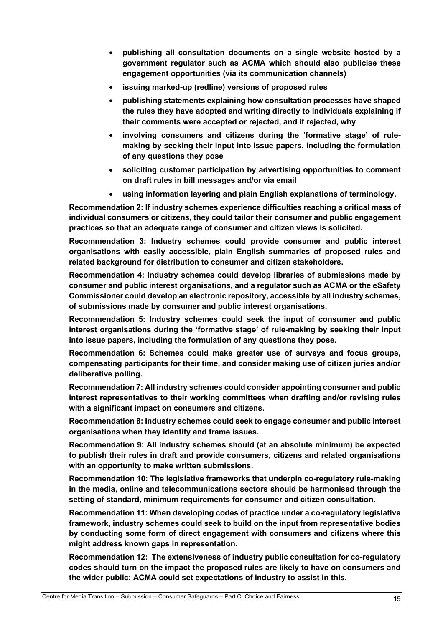- **publishing all consultation documents on a single website hosted by a government regulator such as ACMA which should also publicise these engagement opportunities (via its communication channels)**
- **issuing marked-up (redline) versions of proposed rules**
- **publishing statements explaining how consultation processes have shaped the rules they have adopted and writing directly to individuals explaining if their comments were accepted or rejected, and if rejected, why**
- **involving consumers and citizens during the 'formative stage' of rulemaking by seeking their input into issue papers, including the formulation of any questions they pose**
- **soliciting customer participation by advertising opportunities to comment on draft rules in bill messages and/or via email**
- **using information layering and plain English explanations of terminology.**

**Recommendation 2: If industry schemes experience difficulties reaching a critical mass of individual consumers or citizens, they could tailor their consumer and public engagement practices so that an adequate range of consumer and citizen views is solicited.**

**Recommendation 3: Industry schemes could provide consumer and public interest organisations with easily accessible, plain English summaries of proposed rules and related background for distribution to consumer and citizen stakeholders.**

**Recommendation 4: Industry schemes could develop libraries of submissions made by consumer and public interest organisations, and a regulator such as ACMA or the eSafety Commissioner could develop an electronic repository, accessible by all industry schemes, of submissions made by consumer and public interest organisations.**

**Recommendation 5: Industry schemes could seek the input of consumer and public interest organisations during the 'formative stage' of rule-making by seeking their input into issue papers, including the formulation of any questions they pose.**

**Recommendation 6: Schemes could make greater use of surveys and focus groups, compensating participants for their time, and consider making use of citizen juries and/or deliberative polling.**

**Recommendation 7: All industry schemes could consider appointing consumer and public interest representatives to their working committees when drafting and/or revising rules with a significant impact on consumers and citizens.**

**Recommendation 8: Industry schemes could seek to engage consumer and public interest organisations when they identify and frame issues.**

**Recommendation 9: All industry schemes should (at an absolute minimum) be expected to publish their rules in draft and provide consumers, citizens and related organisations with an opportunity to make written submissions.** 

**Recommendation 10: The legislative frameworks that underpin co-regulatory rule-making in the media, online and telecommunications sectors should be harmonised through the setting of standard, minimum requirements for consumer and citizen consultation.**

**Recommendation 11: When developing codes of practice under a co-regulatory legislative framework, industry schemes could seek to build on the input from representative bodies by conducting some form of direct engagement with consumers and citizens where this might address known gaps in representation.**

**Recommendation 12: The extensiveness of industry public consultation for co-regulatory codes should turn on the impact the proposed rules are likely to have on consumers and the wider public; ACMA could set expectations of industry to assist in this.**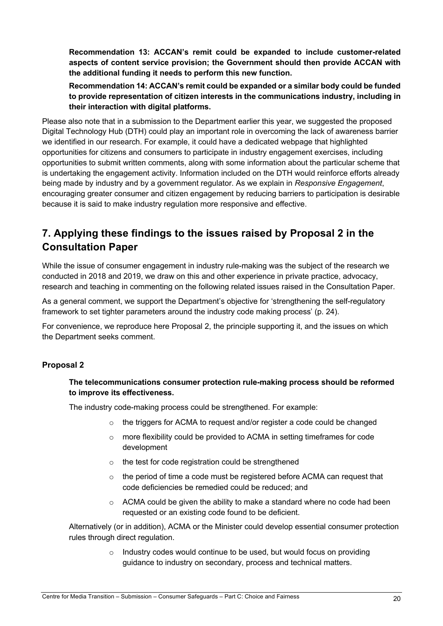**Recommendation 13: ACCAN's remit could be expanded to include customer-related aspects of content service provision; the Government should then provide ACCAN with the additional funding it needs to perform this new function.**

**Recommendation 14: ACCAN's remit could be expanded or a similar body could be funded to provide representation of citizen interests in the communications industry, including in their interaction with digital platforms.**

Please also note that in a submission to the Department earlier this year, we suggested the proposed Digital Technology Hub (DTH) could play an important role in overcoming the lack of awareness barrier we identified in our research. For example, it could have a dedicated webpage that highlighted opportunities for citizens and consumers to participate in industry engagement exercises, including opportunities to submit written comments, along with some information about the particular scheme that is undertaking the engagement activity. Information included on the DTH would reinforce efforts already being made by industry and by a government regulator. As we explain in *Responsive Engagement*, encouraging greater consumer and citizen engagement by reducing barriers to participation is desirable because it is said to make industry regulation more responsive and effective.

# **7. Applying these findings to the issues raised by Proposal 2 in the Consultation Paper**

While the issue of consumer engagement in industry rule-making was the subject of the research we conducted in 2018 and 2019, we draw on this and other experience in private practice, advocacy, research and teaching in commenting on the following related issues raised in the Consultation Paper.

As a general comment, we support the Department's objective for 'strengthening the self-regulatory framework to set tighter parameters around the industry code making process' (p. 24).

For convenience, we reproduce here Proposal 2, the principle supporting it, and the issues on which the Department seeks comment.

## **Proposal 2**

### **The telecommunications consumer protection rule-making process should be reformed to improve its effectiveness.**

The industry code-making process could be strengthened. For example:

- o the triggers for ACMA to request and/or register a code could be changed
- o more flexibility could be provided to ACMA in setting timeframes for code development
- o the test for code registration could be strengthened
- $\circ$  the period of time a code must be registered before ACMA can request that code deficiencies be remedied could be reduced; and
- $\circ$  ACMA could be given the ability to make a standard where no code had been requested or an existing code found to be deficient.

Alternatively (or in addition), ACMA or the Minister could develop essential consumer protection rules through direct regulation.

> $\circ$  Industry codes would continue to be used, but would focus on providing guidance to industry on secondary, process and technical matters.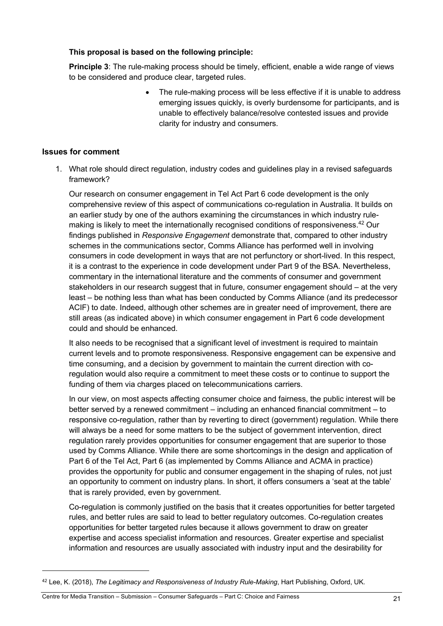#### **This proposal is based on the following principle:**

**Principle 3**: The rule-making process should be timely, efficient, enable a wide range of views to be considered and produce clear, targeted rules.

> The rule-making process will be less effective if it is unable to address emerging issues quickly, is overly burdensome for participants, and is unable to effectively balance/resolve contested issues and provide clarity for industry and consumers.

#### **Issues for comment**

1. What role should direct regulation, industry codes and guidelines play in a revised safeguards framework?

Our research on consumer engagement in Tel Act Part 6 code development is the only comprehensive review of this aspect of communications co-regulation in Australia. It builds on an earlier study by one of the authors examining the circumstances in which industry rulemaking is likely to meet the internationally recognised conditions of responsiveness.<sup>42</sup> Our findings published in *Responsive Engagement* demonstrate that, compared to other industry schemes in the communications sector, Comms Alliance has performed well in involving consumers in code development in ways that are not perfunctory or short-lived. In this respect, it is a contrast to the experience in code development under Part 9 of the BSA. Nevertheless, commentary in the international literature and the comments of consumer and government stakeholders in our research suggest that in future, consumer engagement should – at the very least – be nothing less than what has been conducted by Comms Alliance (and its predecessor ACIF) to date. Indeed, although other schemes are in greater need of improvement, there are still areas (as indicated above) in which consumer engagement in Part 6 code development could and should be enhanced.

It also needs to be recognised that a significant level of investment is required to maintain current levels and to promote responsiveness. Responsive engagement can be expensive and time consuming, and a decision by government to maintain the current direction with coregulation would also require a commitment to meet these costs or to continue to support the funding of them via charges placed on telecommunications carriers.

In our view, on most aspects affecting consumer choice and fairness, the public interest will be better served by a renewed commitment – including an enhanced financial commitment – to responsive co-regulation, rather than by reverting to direct (government) regulation. While there will always be a need for some matters to be the subject of government intervention, direct regulation rarely provides opportunities for consumer engagement that are superior to those used by Comms Alliance. While there are some shortcomings in the design and application of Part 6 of the Tel Act, Part 6 (as implemented by Comms Alliance and ACMA in practice) provides the opportunity for public and consumer engagement in the shaping of rules, not just an opportunity to comment on industry plans. In short, it offers consumers a 'seat at the table' that is rarely provided, even by government.

Co-regulation is commonly justified on the basis that it creates opportunities for better targeted rules, and better rules are said to lead to better regulatory outcomes. Co-regulation creates opportunities for better targeted rules because it allows government to draw on greater expertise and access specialist information and resources. Greater expertise and specialist information and resources are usually associated with industry input and the desirability for

<sup>42</sup> Lee, K. (2018), *The Legitimacy and Responsiveness of Industry Rule-Making*, Hart Publishing, Oxford, UK.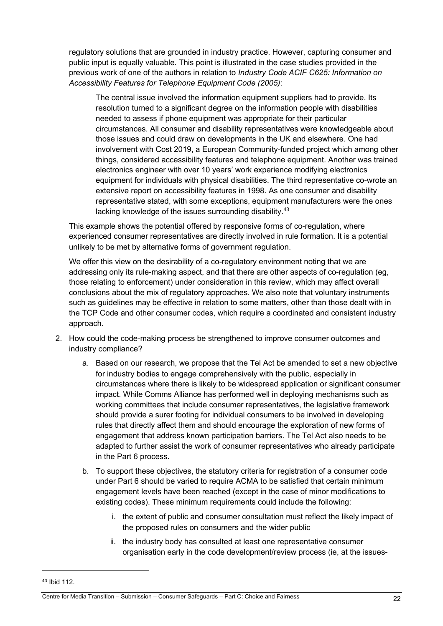regulatory solutions that are grounded in industry practice. However, capturing consumer and public input is equally valuable. This point is illustrated in the case studies provided in the previous work of one of the authors in relation to *Industry Code ACIF C625: Information on Accessibility Features for Telephone Equipment Code (2005)*:

The central issue involved the information equipment suppliers had to provide. Its resolution turned to a significant degree on the information people with disabilities needed to assess if phone equipment was appropriate for their particular circumstances. All consumer and disability representatives were knowledgeable about those issues and could draw on developments in the UK and elsewhere. One had involvement with Cost 2019, a European Community-funded project which among other things, considered accessibility features and telephone equipment. Another was trained electronics engineer with over 10 years' work experience modifying electronics equipment for individuals with physical disabilities. The third representative co-wrote an extensive report on accessibility features in 1998. As one consumer and disability representative stated, with some exceptions, equipment manufacturers were the ones lacking knowledge of the issues surrounding disability.<sup>43</sup>

This example shows the potential offered by responsive forms of co-regulation, where experienced consumer representatives are directly involved in rule formation. It is a potential unlikely to be met by alternative forms of government regulation.

We offer this view on the desirability of a co-regulatory environment noting that we are addressing only its rule-making aspect, and that there are other aspects of co-regulation (eg, those relating to enforcement) under consideration in this review, which may affect overall conclusions about the mix of regulatory approaches. We also note that voluntary instruments such as guidelines may be effective in relation to some matters, other than those dealt with in the TCP Code and other consumer codes, which require a coordinated and consistent industry approach.

- 2. How could the code-making process be strengthened to improve consumer outcomes and industry compliance?
	- a. Based on our research, we propose that the Tel Act be amended to set a new objective for industry bodies to engage comprehensively with the public, especially in circumstances where there is likely to be widespread application or significant consumer impact. While Comms Alliance has performed well in deploying mechanisms such as working committees that include consumer representatives, the legislative framework should provide a surer footing for individual consumers to be involved in developing rules that directly affect them and should encourage the exploration of new forms of engagement that address known participation barriers. The Tel Act also needs to be adapted to further assist the work of consumer representatives who already participate in the Part 6 process.
	- b. To support these objectives, the statutory criteria for registration of a consumer code under Part 6 should be varied to require ACMA to be satisfied that certain minimum engagement levels have been reached (except in the case of minor modifications to existing codes). These minimum requirements could include the following:
		- i. the extent of public and consumer consultation must reflect the likely impact of the proposed rules on consumers and the wider public
		- ii. the industry body has consulted at least one representative consumer organisation early in the code development/review process (ie, at the issues-

<sup>43</sup> Ibid 112.

Centre for Media Transition – Submission – Consumer Safeguards – Part C: Choice and Fairness 22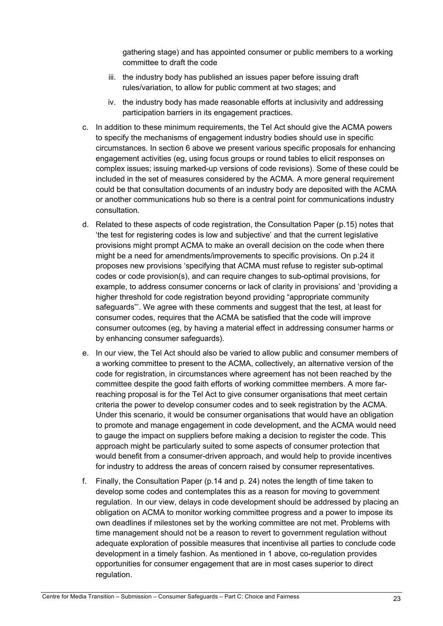gathering stage) and has appointed consumer or public members to a working committee to draft the code

- iii. the industry body has published an issues paper before issuing draft rules/variation, to allow for public comment at two stages; and
- iv. the industry body has made reasonable efforts at inclusivity and addressing participation barriers in its engagement practices.
- c. In addition to these minimum requirements, the Tel Act should give the ACMA powers to specify the mechanisms of engagement industry bodies should use in specific circumstances. In section 6 above we present various specific proposals for enhancing engagement activities (eg, using focus groups or round tables to elicit responses on complex issues; issuing marked-up versions of code revisions). Some of these could be included in the set of measures considered by the ACMA. A more general requirement could be that consultation documents of an industry body are deposited with the ACMA or another communications hub so there is a central point for communications industry consultation.
- d. Related to these aspects of code registration, the Consultation Paper (p.15) notes that 'the test for registering codes is low and subjective' and that the current legislative provisions might prompt ACMA to make an overall decision on the code when there might be a need for amendments/improvements to specific provisions. On p.24 it proposes new provisions 'specifying that ACMA must refuse to register sub-optimal codes or code provision(s), and can require changes to sub-optimal provisions, for example, to address consumer concerns or lack of clarity in provisions' and 'providing a higher threshold for code registration beyond providing "appropriate community safeguards"'. We agree with these comments and suggest that the test, at least for consumer codes, requires that the ACMA be satisfied that the code will improve consumer outcomes (eg, by having a material effect in addressing consumer harms or by enhancing consumer safeguards).
- e. In our view, the Tel Act should also be varied to allow public and consumer members of a working committee to present to the ACMA, collectively, an alternative version of the code for registration, in circumstances where agreement has not been reached by the committee despite the good faith efforts of working committee members. A more farreaching proposal is for the Tel Act to give consumer organisations that meet certain criteria the power to develop consumer codes and to seek registration by the ACMA. Under this scenario, it would be consumer organisations that would have an obligation to promote and manage engagement in code development, and the ACMA would need to gauge the impact on suppliers before making a decision to register the code. This approach might be particularly suited to some aspects of consumer protection that would benefit from a consumer-driven approach, and would help to provide incentives for industry to address the areas of concern raised by consumer representatives.
- f. Finally, the Consultation Paper (p.14 and p. 24) notes the length of time taken to develop some codes and contemplates this as a reason for moving to government regulation. In our view, delays in code development should be addressed by placing an obligation on ACMA to monitor working committee progress and a power to impose its own deadlines if milestones set by the working committee are not met. Problems with time management should not be a reason to revert to government regulation without adequate exploration of possible measures that incentivise all parties to conclude code development in a timely fashion. As mentioned in 1 above, co-regulation provides opportunities for consumer engagement that are in most cases superior to direct regulation.